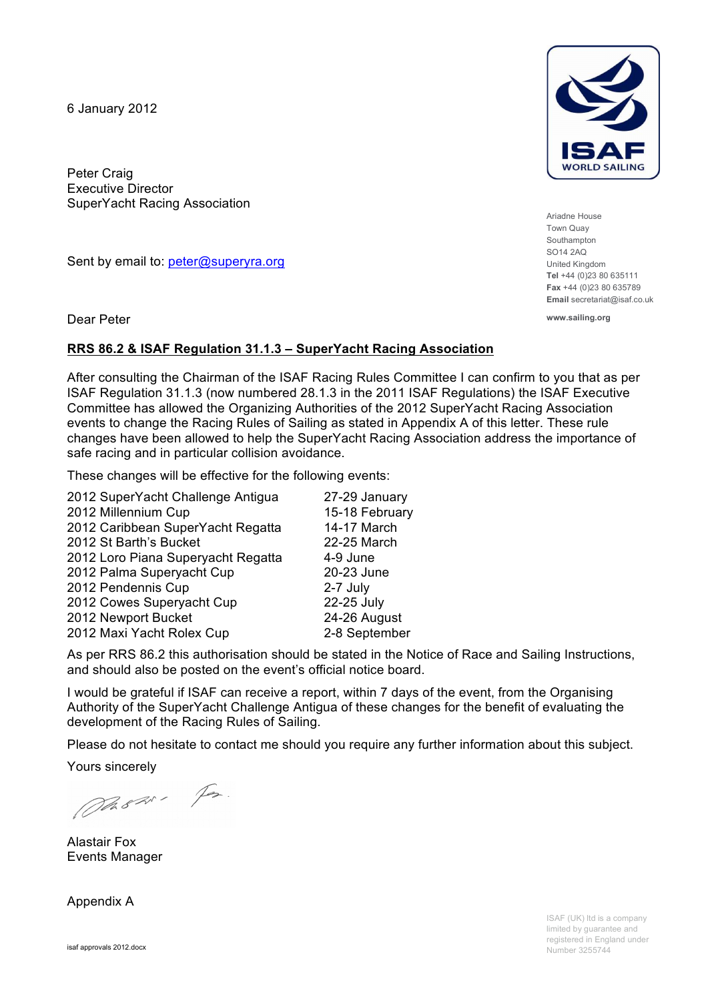6 January 2012

Peter Craig Executive Director SuperYacht Racing Association

Sent by email to: peter@superyra.org

Dear Peter

#### **RRS 86.2 & ISAF Regulation 31.1.3 – SuperYacht Racing Association**

After consulting the Chairman of the ISAF Racing Rules Committee I can confirm to you that as per ISAF Regulation 31.1.3 (now numbered 28.1.3 in the 2011 ISAF Regulations) the ISAF Executive Committee has allowed the Organizing Authorities of the 2012 SuperYacht Racing Association events to change the Racing Rules of Sailing as stated in Appendix A of this letter. These rule changes have been allowed to help the SuperYacht Racing Association address the importance of safe racing and in particular collision avoidance.

These changes will be effective for the following events:

| 2012 SuperYacht Challenge Antigua  | 27-29 January  |
|------------------------------------|----------------|
| 2012 Millennium Cup                | 15-18 February |
| 2012 Caribbean SuperYacht Regatta  | 14-17 March    |
| 2012 St Barth's Bucket             | 22-25 March    |
| 2012 Loro Piana Superyacht Regatta | 4-9 June       |
| 2012 Palma Superyacht Cup          | 20-23 June     |
| 2012 Pendennis Cup                 | 2-7 July       |
| 2012 Cowes Superyacht Cup          | 22-25 July     |
| 2012 Newport Bucket                | 24-26 August   |
| 2012 Maxi Yacht Rolex Cup          | 2-8 September  |
|                                    |                |

As per RRS 86.2 this authorisation should be stated in the Notice of Race and Sailing Instructions, and should also be posted on the event's official notice board.

I would be grateful if ISAF can receive a report, within 7 days of the event, from the Organising Authority of the SuperYacht Challenge Antigua of these changes for the benefit of evaluating the development of the Racing Rules of Sailing.

Please do not hesitate to contact me should you require any further information about this subject.

Yours sincerely

Ph820, Fr.

Alastair Fox Events Manager

Appendix A



Ariadne House Town Quay Southampton SO14 2AQ United Kingdom **Tel** +44 (0)23 80 635111 **Fax** +44 (0)23 80 635789 **Email** secretariat@isaf.co.uk

**www.sailing.org**

ISAF (UK) ltd is a company limited by guarantee and registered in England under Number 3255744